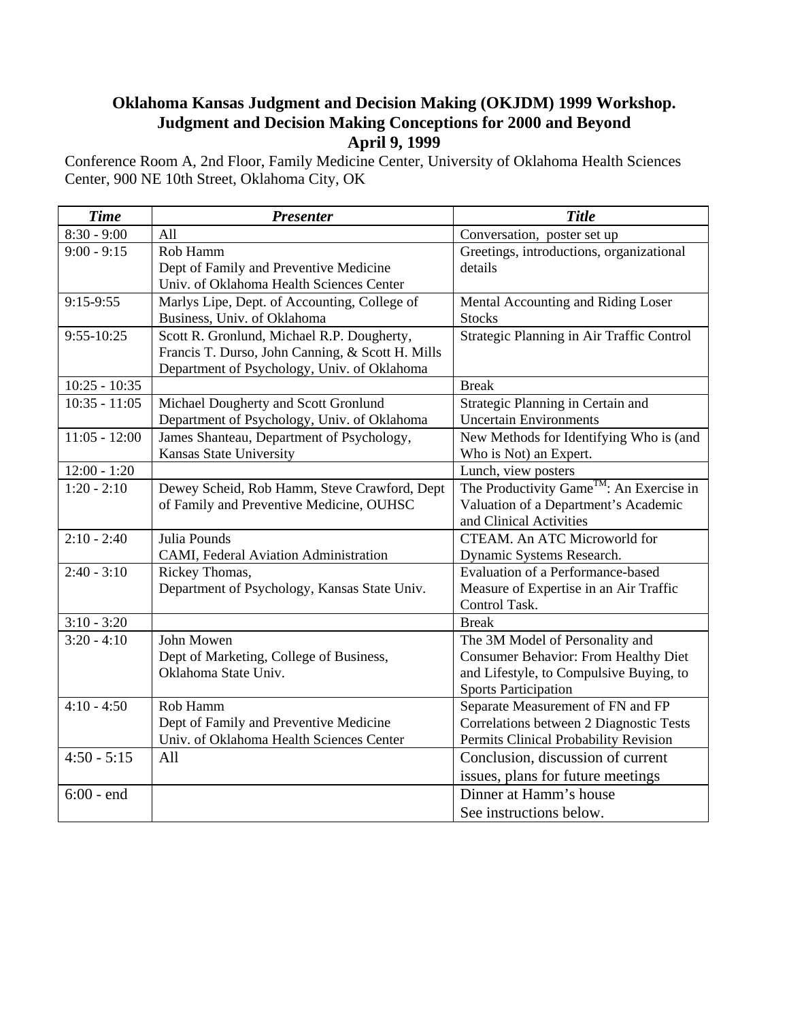## **Oklahoma Kansas Judgment and Decision Making (OKJDM) 1999 Workshop. Judgment and Decision Making Conceptions for 2000 and Beyond April 9, 1999**

Conference Room A, 2nd Floor, Family Medicine Center, University of Oklahoma Health Sciences Center, 900 NE 10th Street, Oklahoma City, OK

| <b>Time</b>     | <b>Presenter</b>                                                                   | <b>Title</b>                                         |
|-----------------|------------------------------------------------------------------------------------|------------------------------------------------------|
| $8:30 - 9:00$   | All                                                                                | Conversation, poster set up                          |
| $9:00 - 9:15$   | Rob Hamm                                                                           | Greetings, introductions, organizational             |
|                 | Dept of Family and Preventive Medicine                                             | details                                              |
|                 | Univ. of Oklahoma Health Sciences Center                                           |                                                      |
| $9:15-9:55$     | Marlys Lipe, Dept. of Accounting, College of                                       | Mental Accounting and Riding Loser                   |
|                 | Business, Univ. of Oklahoma                                                        | <b>Stocks</b>                                        |
| $9:55 - 10:25$  | Scott R. Gronlund, Michael R.P. Dougherty,                                         | Strategic Planning in Air Traffic Control            |
|                 | Francis T. Durso, John Canning, & Scott H. Mills                                   |                                                      |
|                 | Department of Psychology, Univ. of Oklahoma                                        |                                                      |
| $10:25 - 10:35$ |                                                                                    | <b>Break</b>                                         |
| $10:35 - 11:05$ | Michael Dougherty and Scott Gronlund                                               | Strategic Planning in Certain and                    |
|                 | Department of Psychology, Univ. of Oklahoma                                        | <b>Uncertain Environments</b>                        |
| $11:05 - 12:00$ | James Shanteau, Department of Psychology,                                          | New Methods for Identifying Who is (and              |
|                 | Kansas State University                                                            | Who is Not) an Expert.                               |
| $12:00 - 1:20$  |                                                                                    | Lunch, view posters                                  |
| $1:20 - 2:10$   | Dewey Scheid, Rob Hamm, Steve Crawford, Dept                                       | The Productivity Game <sup>TM</sup> : An Exercise in |
|                 | of Family and Preventive Medicine, OUHSC                                           | Valuation of a Department's Academic                 |
|                 |                                                                                    | and Clinical Activities                              |
| $2:10 - 2:40$   | Julia Pounds                                                                       | CTEAM. An ATC Microworld for                         |
|                 | CAMI, Federal Aviation Administration                                              | Dynamic Systems Research.                            |
| $2:40 - 3:10$   | Rickey Thomas,                                                                     | Evaluation of a Performance-based                    |
|                 | Department of Psychology, Kansas State Univ.                                       | Measure of Expertise in an Air Traffic               |
|                 |                                                                                    | Control Task.                                        |
| $3:10 - 3:20$   |                                                                                    | <b>Break</b>                                         |
| $3:20 - 4:10$   | John Mowen                                                                         | The 3M Model of Personality and                      |
|                 | Dept of Marketing, College of Business,                                            | <b>Consumer Behavior: From Healthy Diet</b>          |
|                 | Oklahoma State Univ.                                                               | and Lifestyle, to Compulsive Buying, to              |
|                 |                                                                                    | <b>Sports Participation</b>                          |
| $4:10 - 4:50$   | Rob Hamm                                                                           | Separate Measurement of FN and FP                    |
|                 | Dept of Family and Preventive Medicine<br>Univ. of Oklahoma Health Sciences Center | Correlations between 2 Diagnostic Tests              |
| $4:50 - 5:15$   |                                                                                    | Permits Clinical Probability Revision                |
|                 | All                                                                                | Conclusion, discussion of current                    |
|                 |                                                                                    | issues, plans for future meetings                    |
| $6:00$ - end    |                                                                                    | Dinner at Hamm's house                               |
|                 |                                                                                    | See instructions below.                              |